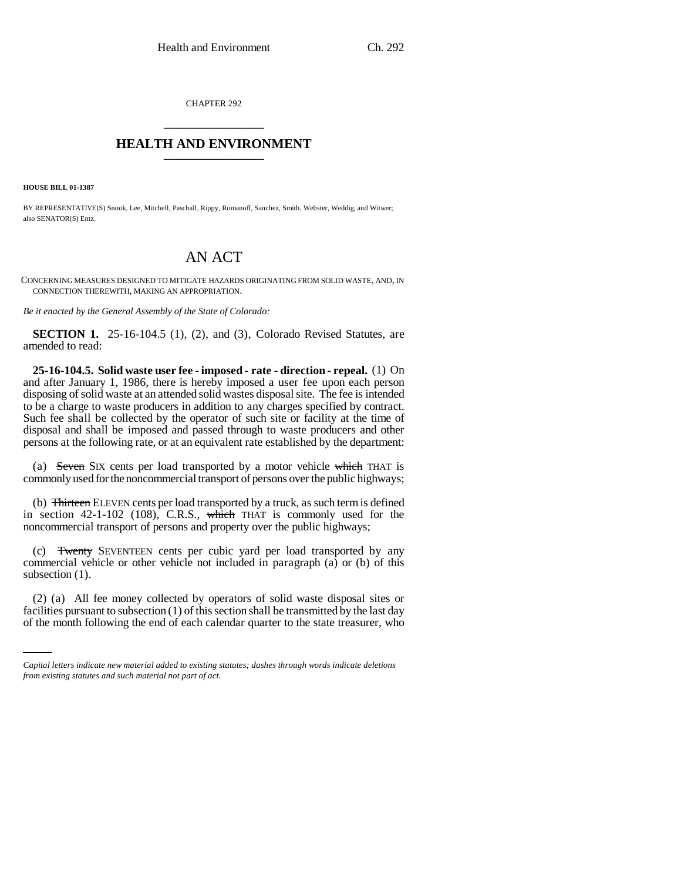CHAPTER 292 \_\_\_\_\_\_\_\_\_\_\_\_\_\_\_

## **HEALTH AND ENVIRONMENT** \_\_\_\_\_\_\_\_\_\_\_\_\_\_\_

**HOUSE BILL 01-1387**

BY REPRESENTATIVE(S) Snook, Lee, Mitchell, Paschall, Rippy, Romanoff, Sanchez, Smith, Webster, Weddig, and Witwer; also SENATOR(S) Entz.

## AN ACT

CONCERNING MEASURES DESIGNED TO MITIGATE HAZARDS ORIGINATING FROM SOLID WASTE, AND, IN CONNECTION THEREWITH, MAKING AN APPROPRIATION.

*Be it enacted by the General Assembly of the State of Colorado:*

**SECTION 1.** 25-16-104.5 (1), (2), and (3), Colorado Revised Statutes, are amended to read:

**25-16-104.5. Solid waste user fee - imposed - rate - direction - repeal.** (1) On and after January 1, 1986, there is hereby imposed a user fee upon each person disposing of solid waste at an attended solid wastes disposal site. The fee is intended to be a charge to waste producers in addition to any charges specified by contract. Such fee shall be collected by the operator of such site or facility at the time of disposal and shall be imposed and passed through to waste producers and other persons at the following rate, or at an equivalent rate established by the department:

(a) Seven SIX cents per load transported by a motor vehicle which THAT is commonly used for the noncommercial transport of persons over the public highways;

(b) Thirteen ELEVEN cents per load transported by a truck, as such term is defined in section  $42-1-102$  (108), C.R.S., which THAT is commonly used for the noncommercial transport of persons and property over the public highways;

(c) Twenty SEVENTEEN cents per cubic yard per load transported by any commercial vehicle or other vehicle not included in paragraph (a) or (b) of this subsection  $(1)$ .

(2) (a) All fee money collected by operators of solid waste disposal sites or facilities pursuant to subsection (1) of this section shall be transmitted by the last day of the month following the end of each calendar quarter to the state treasurer, who

*Capital letters indicate new material added to existing statutes; dashes through words indicate deletions from existing statutes and such material not part of act.*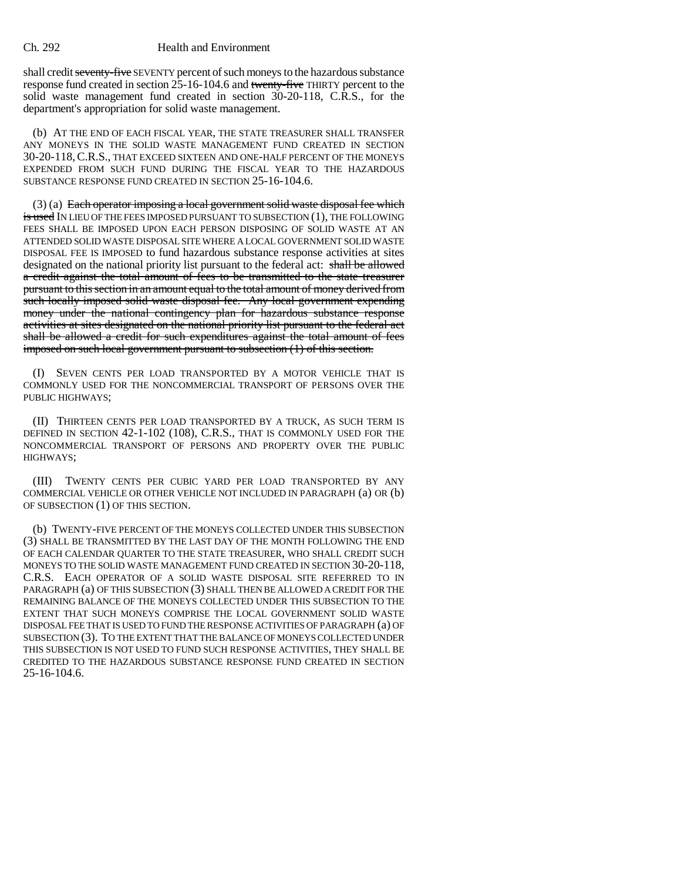shall credit seventy-five SEVENTY percent of such moneys to the hazardous substance response fund created in section 25-16-104.6 and twenty-five THIRTY percent to the solid waste management fund created in section 30-20-118, C.R.S., for the department's appropriation for solid waste management.

(b) AT THE END OF EACH FISCAL YEAR, THE STATE TREASURER SHALL TRANSFER ANY MONEYS IN THE SOLID WASTE MANAGEMENT FUND CREATED IN SECTION 30-20-118,C.R.S., THAT EXCEED SIXTEEN AND ONE-HALF PERCENT OF THE MONEYS EXPENDED FROM SUCH FUND DURING THE FISCAL YEAR TO THE HAZARDOUS SUBSTANCE RESPONSE FUND CREATED IN SECTION 25-16-104.6.

 $(3)$  (a) Each operator imposing a local government solid waste disposal fee which is used IN LIEU OF THE FEES IMPOSED PURSUANT TO SUBSECTION (1), THE FOLLOWING FEES SHALL BE IMPOSED UPON EACH PERSON DISPOSING OF SOLID WASTE AT AN ATTENDED SOLID WASTE DISPOSAL SITE WHERE A LOCAL GOVERNMENT SOLID WASTE DISPOSAL FEE IS IMPOSED to fund hazardous substance response activities at sites designated on the national priority list pursuant to the federal act: shall be allowed a credit against the total amount of fees to be transmitted to the state treasurer pursuant to this section in an amount equal to the total amount of money derived from such locally imposed solid waste disposal fee. Any local government expending money under the national contingency plan for hazardous substance response activities at sites designated on the national priority list pursuant to the federal act shall be allowed a credit for such expenditures against the total amount of fees imposed on such local government pursuant to subsection (1) of this section.

(I) SEVEN CENTS PER LOAD TRANSPORTED BY A MOTOR VEHICLE THAT IS COMMONLY USED FOR THE NONCOMMERCIAL TRANSPORT OF PERSONS OVER THE PUBLIC HIGHWAYS;

(II) THIRTEEN CENTS PER LOAD TRANSPORTED BY A TRUCK, AS SUCH TERM IS DEFINED IN SECTION 42-1-102 (108), C.R.S., THAT IS COMMONLY USED FOR THE NONCOMMERCIAL TRANSPORT OF PERSONS AND PROPERTY OVER THE PUBLIC HIGHWAYS;

(III) TWENTY CENTS PER CUBIC YARD PER LOAD TRANSPORTED BY ANY COMMERCIAL VEHICLE OR OTHER VEHICLE NOT INCLUDED IN PARAGRAPH (a) OR (b) OF SUBSECTION (1) OF THIS SECTION.

(b) TWENTY-FIVE PERCENT OF THE MONEYS COLLECTED UNDER THIS SUBSECTION (3) SHALL BE TRANSMITTED BY THE LAST DAY OF THE MONTH FOLLOWING THE END OF EACH CALENDAR QUARTER TO THE STATE TREASURER, WHO SHALL CREDIT SUCH MONEYS TO THE SOLID WASTE MANAGEMENT FUND CREATED IN SECTION 30-20-118, C.R.S. EACH OPERATOR OF A SOLID WASTE DISPOSAL SITE REFERRED TO IN PARAGRAPH (a) OF THIS SUBSECTION (3) SHALL THEN BE ALLOWED A CREDIT FOR THE REMAINING BALANCE OF THE MONEYS COLLECTED UNDER THIS SUBSECTION TO THE EXTENT THAT SUCH MONEYS COMPRISE THE LOCAL GOVERNMENT SOLID WASTE DISPOSAL FEE THAT IS USED TO FUND THE RESPONSE ACTIVITIES OF PARAGRAPH (a) OF SUBSECTION (3). TO THE EXTENT THAT THE BALANCE OF MONEYS COLLECTED UNDER THIS SUBSECTION IS NOT USED TO FUND SUCH RESPONSE ACTIVITIES, THEY SHALL BE CREDITED TO THE HAZARDOUS SUBSTANCE RESPONSE FUND CREATED IN SECTION 25-16-104.6.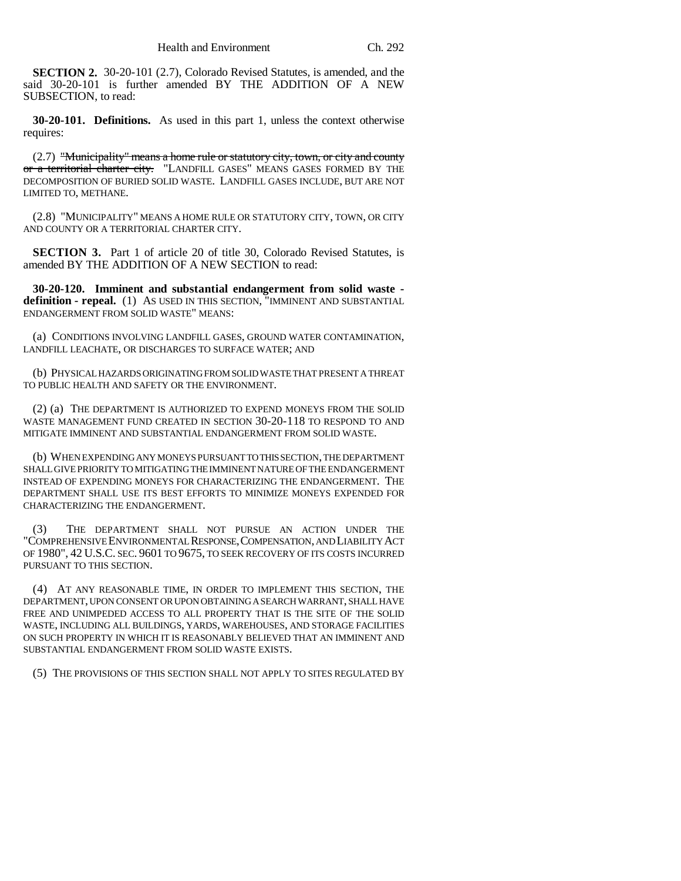**SECTION 2.** 30-20-101 (2.7), Colorado Revised Statutes, is amended, and the said 30-20-101 is further amended BY THE ADDITION OF A NEW SUBSECTION, to read:

**30-20-101. Definitions.** As used in this part 1, unless the context otherwise requires:

(2.7) "Municipality" means a home rule or statutory city, town, or city and county or a territorial charter city. "LANDFILL GASES" MEANS GASES FORMED BY THE DECOMPOSITION OF BURIED SOLID WASTE. LANDFILL GASES INCLUDE, BUT ARE NOT LIMITED TO, METHANE.

(2.8) "MUNICIPALITY" MEANS A HOME RULE OR STATUTORY CITY, TOWN, OR CITY AND COUNTY OR A TERRITORIAL CHARTER CITY.

**SECTION 3.** Part 1 of article 20 of title 30, Colorado Revised Statutes, is amended BY THE ADDITION OF A NEW SECTION to read:

**30-20-120. Imminent and substantial endangerment from solid waste definition - repeal.** (1) AS USED IN THIS SECTION, "IMMINENT AND SUBSTANTIAL ENDANGERMENT FROM SOLID WASTE" MEANS:

(a) CONDITIONS INVOLVING LANDFILL GASES, GROUND WATER CONTAMINATION, LANDFILL LEACHATE, OR DISCHARGES TO SURFACE WATER; AND

(b) PHYSICAL HAZARDS ORIGINATING FROM SOLID WASTE THAT PRESENT A THREAT TO PUBLIC HEALTH AND SAFETY OR THE ENVIRONMENT.

(2) (a) THE DEPARTMENT IS AUTHORIZED TO EXPEND MONEYS FROM THE SOLID WASTE MANAGEMENT FUND CREATED IN SECTION 30-20-118 TO RESPOND TO AND MITIGATE IMMINENT AND SUBSTANTIAL ENDANGERMENT FROM SOLID WASTE.

(b) WHEN EXPENDING ANY MONEYS PURSUANT TO THIS SECTION, THE DEPARTMENT SHALL GIVE PRIORITY TO MITIGATING THE IMMINENT NATURE OF THE ENDANGERMENT INSTEAD OF EXPENDING MONEYS FOR CHARACTERIZING THE ENDANGERMENT. THE DEPARTMENT SHALL USE ITS BEST EFFORTS TO MINIMIZE MONEYS EXPENDED FOR CHARACTERIZING THE ENDANGERMENT.

(3) THE DEPARTMENT SHALL NOT PURSUE AN ACTION UNDER THE "COMPREHENSIVE ENVIRONMENTAL RESPONSE,COMPENSATION, AND LIABILITY ACT OF 1980", 42 U.S.C. SEC. 9601 TO 9675, TO SEEK RECOVERY OF ITS COSTS INCURRED PURSUANT TO THIS SECTION.

(4) AT ANY REASONABLE TIME, IN ORDER TO IMPLEMENT THIS SECTION, THE DEPARTMENT, UPON CONSENT OR UPON OBTAINING A SEARCH WARRANT, SHALL HAVE FREE AND UNIMPEDED ACCESS TO ALL PROPERTY THAT IS THE SITE OF THE SOLID WASTE, INCLUDING ALL BUILDINGS, YARDS, WAREHOUSES, AND STORAGE FACILITIES ON SUCH PROPERTY IN WHICH IT IS REASONABLY BELIEVED THAT AN IMMINENT AND SUBSTANTIAL ENDANGERMENT FROM SOLID WASTE EXISTS.

(5) THE PROVISIONS OF THIS SECTION SHALL NOT APPLY TO SITES REGULATED BY